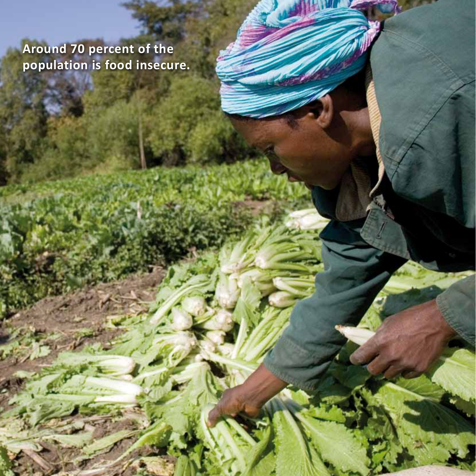**Around 70 percent of the population is food insecure.**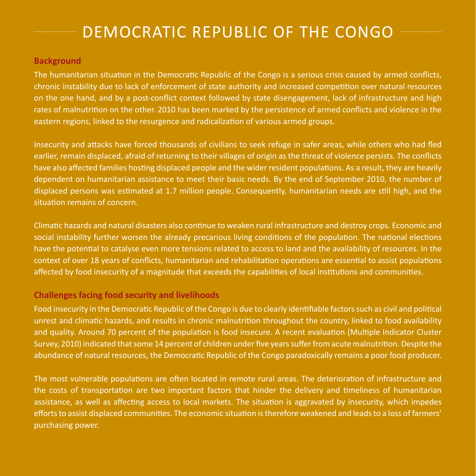# **ENDEMOCRATIC REPUBLIC OF THE CONGO**

## **Background**

The humanitarian situation in the Democratic Republic of the Congo is a serious crisis caused by armed conflicts, chronic instability due to lack of enforcement of state authority and increased competition over natural resources on the one hand, and by a post-conflict context followed by state disengagement, lack of infrastructure and high rates of malnutrition on the other. 2010 has been marked by the persistence of armed conflicts and violence in the eastern regions, linked to the resurgence and radicalization of various armed groups.

Insecurity and attacks have forced thousands of civilians to seek refuge in safer areas, while others who had fled earlier, remain displaced, afraid of returning to their villages of origin as the threat of violence persists. The conflicts have also affected families hosting displaced people and the wider resident populations. As a result, they are heavily dependent on humanitarian assistance to meet their basic needs. By the end of September 2010, the number of displaced persons was estimated at 1.7 million people. Consequently, humanitarian needs are still high, and the situation remains of concern.

Climatic hazards and natural disasters also continue to weaken rural infrastructure and destroy crops. Economic and social instability further worsen the already precarious living conditions of the population. The national elections have the potential to catalyse even more tensions related to access to land and the availability of resources. In the context of over 18 years of conflicts, humanitarian and rehabilitation operations are essential to assist populations affected by food insecurity of a magnitude that exceeds the capabilities of local institutions and communities.

## **Challenges facing food security and livelihoods**

Food insecurity in the Democratic Republic of the Congo is due to clearly identifiable factors such as civil and political unrest and climatic hazards, and results in chronic malnutrition throughout the country, linked to food availability and quality. Around 70 percent of the population is food insecure. A recent evaluation (Multiple Indicator Cluster Survey, 2010) indicated that some 14 percent of children under five years suffer from acute malnutrition. Despite the abundance of natural resources, the Democratic Republic of the Congo paradoxically remains a poor food producer.

The most vulnerable populations are often located in remote rural areas. The deterioration of infrastructure and the costs of transportation are two important factors that hinder the delivery and timeliness of humanitarian assistance, as well as affecting access to local markets. The situation is aggravated by insecurity, which impedes efforts to assist displaced communities. The economic situation is therefore weakened and leads to a loss of farmers' purchasing power.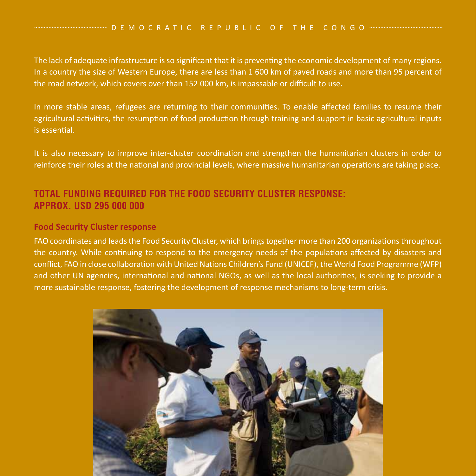#### D E M O C R A T I C R E P U B L I C O F T H E C O N G O """""""""""""""

The lack of adequate infrastructure is so significant that it is preventing the economic development of many regions. In a country the size of Western Europe, there are less than 1 600 km of paved roads and more than 95 percent of the road network, which covers over than 152 000 km, is impassable or difficult to use.

In more stable areas, refugees are returning to their communities. To enable affected families to resume their agricultural activities, the resumption of food production through training and support in basic agricultural inputs is essential.

It is also necessary to improve inter-cluster coordination and strengthen the humanitarian clusters in order to reinforce their roles at the national and provincial levels, where massive humanitarian operations are taking place.

## **TOTAL FUNDING REQUIRED FOR THE FOOD SECURITY CLUSTER RESPONSE: approx. USD 295 000 000**

### **Food Security Cluster response**

FAO coordinates and leads the Food Security Cluster, which brings together more than 200 organizations throughout the country. While continuing to respond to the emergency needs of the populations affected by disasters and conflict, FAO in close collaboration with United Nations Children's Fund (UNICEF), the World Food Programme (WFP) and other UN agencies, international and national NGOs, as well as the local authorities, is seeking to provide a more sustainable response, fostering the development of response mechanisms to long-term crisis.